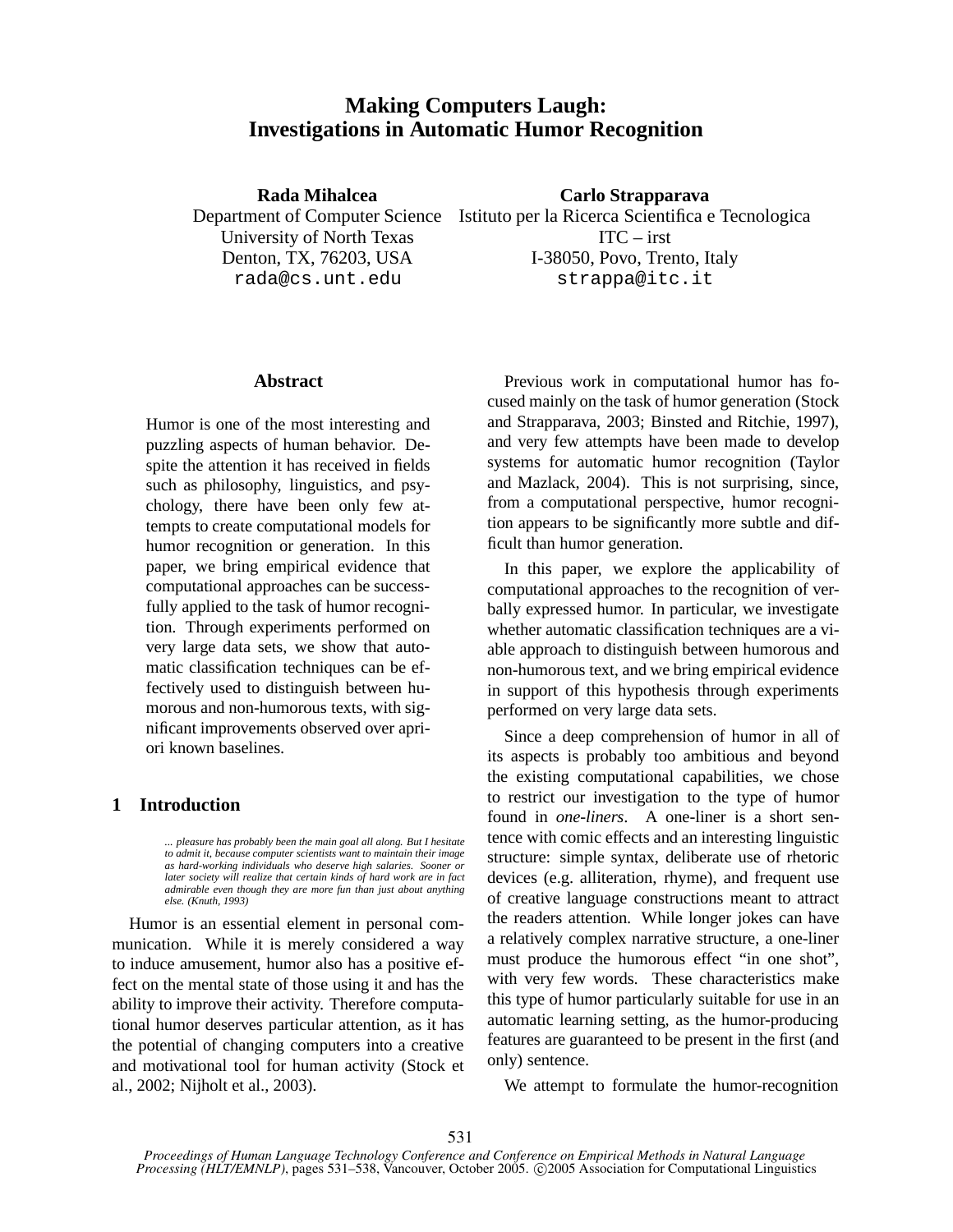# **Making Computers Laugh: Investigations in Automatic Humor Recognition**

**Rada Mihalcea**

University of North Texas Denton, TX, 76203, USA rada@cs.unt.edu

**Carlo Strapparava**

Department of Computer Science Istituto per la Ricerca Scientifica e Tecnologica  $ITC - irst$ I-38050, Povo, Trento, Italy strappa@itc.it

## **Abstract**

Humor is one of the most interesting and puzzling aspects of human behavior. Despite the attention it has received in fields such as philosophy, linguistics, and psychology, there have been only few attempts to create computational models for humor recognition or generation. In this paper, we bring empirical evidence that computational approaches can be successfully applied to the task of humor recognition. Through experiments performed on very large data sets, we show that automatic classification techniques can be effectively used to distinguish between humorous and non-humorous texts, with significant improvements observed over apriori known baselines.

## **1 Introduction**

*... pleasure has probably been the main goal all along. But I hesitate to admit it, because computer scientists want to maintain their image as hard-working individuals who deserve high salaries. Sooner or later society will realize that certain kinds of hard work are in fact admirable even though they are more fun than just about anything else. (Knuth, 1993)*

Humor is an essential element in personal communication. While it is merely considered a way to induce amusement, humor also has a positive effect on the mental state of those using it and has the ability to improve their activity. Therefore computational humor deserves particular attention, as it has the potential of changing computers into a creative and motivational tool for human activity (Stock et al., 2002; Nijholt et al., 2003).

Previous work in computational humor has focused mainly on the task of humor generation (Stock and Strapparava, 2003; Binsted and Ritchie, 1997), and very few attempts have been made to develop systems for automatic humor recognition (Taylor and Mazlack, 2004). This is not surprising, since, from a computational perspective, humor recognition appears to be significantly more subtle and difficult than humor generation.

In this paper, we explore the applicability of computational approaches to the recognition of verbally expressed humor. In particular, we investigate whether automatic classification techniques are a viable approach to distinguish between humorous and non-humorous text, and we bring empirical evidence in support of this hypothesis through experiments performed on very large data sets.

Since a deep comprehension of humor in all of its aspects is probably too ambitious and beyond the existing computational capabilities, we chose to restrict our investigation to the type of humor found in *one-liners*. A one-liner is a short sentence with comic effects and an interesting linguistic structure: simple syntax, deliberate use of rhetoric devices (e.g. alliteration, rhyme), and frequent use of creative language constructions meant to attract the readers attention. While longer jokes can have a relatively complex narrative structure, a one-liner must produce the humorous effect "in one shot", with very few words. These characteristics make this type of humor particularly suitable for use in an automatic learning setting, as the humor-producing features are guaranteed to be present in the first (and only) sentence.

We attempt to formulate the humor-recognition

531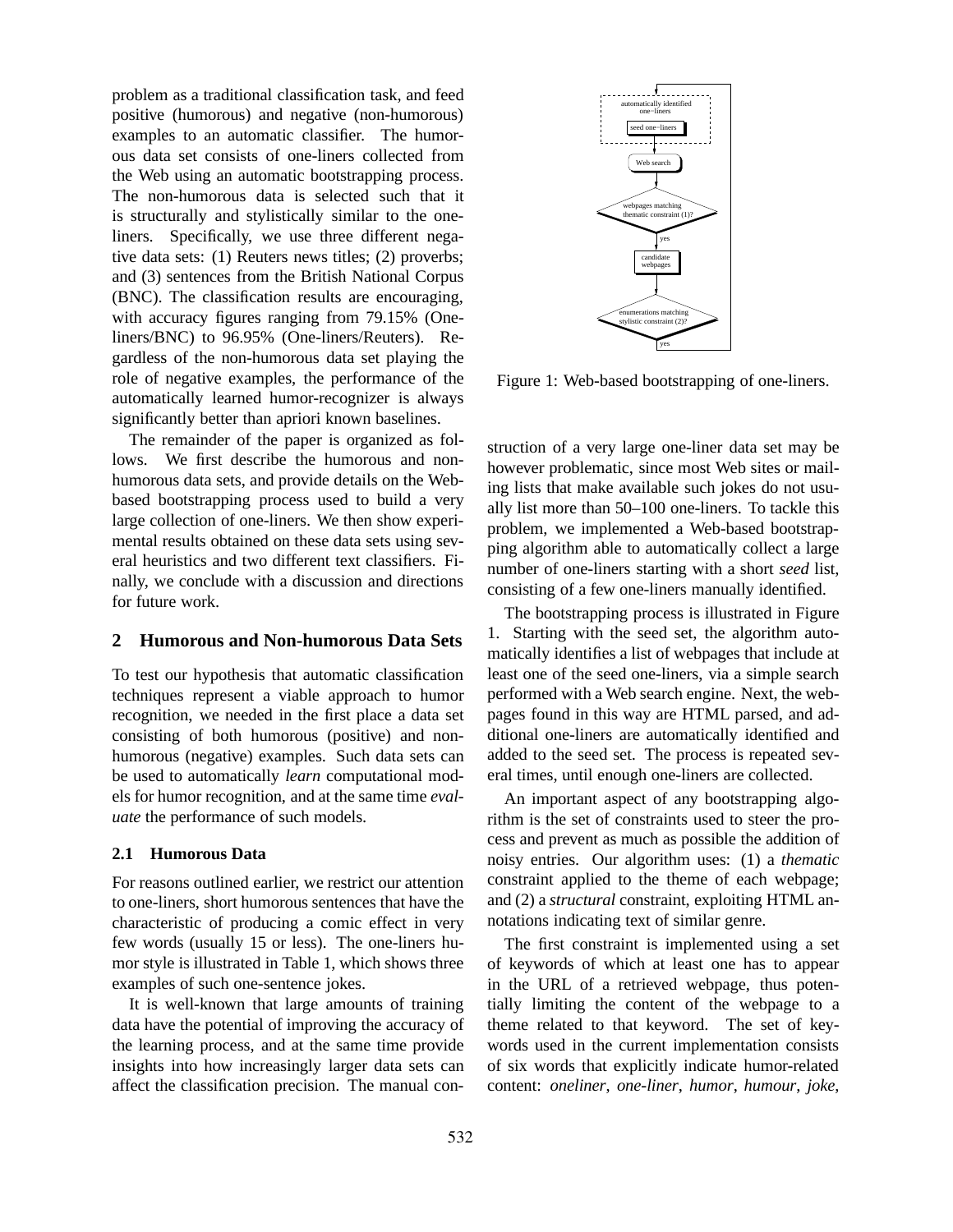problem as a traditional classification task, and feed positive (humorous) and negative (non-humorous) examples to an automatic classifier. The humorous data set consists of one-liners collected from the Web using an automatic bootstrapping process. The non-humorous data is selected such that it is structurally and stylistically similar to the oneliners. Specifically, we use three different negative data sets: (1) Reuters news titles; (2) proverbs; and (3) sentences from the British National Corpus (BNC). The classification results are encouraging, with accuracy figures ranging from 79.15% (Oneliners/BNC) to 96.95% (One-liners/Reuters). Regardless of the non-humorous data set playing the role of negative examples, the performance of the automatically learned humor-recognizer is always significantly better than apriori known baselines.

The remainder of the paper is organized as follows. We first describe the humorous and nonhumorous data sets, and provide details on the Webbased bootstrapping process used to build a very large collection of one-liners. We then show experimental results obtained on these data sets using several heuristics and two different text classifiers. Finally, we conclude with a discussion and directions for future work.

## **2 Humorous and Non-humorous Data Sets**

To test our hypothesis that automatic classification techniques represent a viable approach to humor recognition, we needed in the first place a data set consisting of both humorous (positive) and nonhumorous (negative) examples. Such data sets can be used to automatically *learn* computational models for humor recognition, and at the same time *evaluate* the performance of such models.

### **2.1 Humorous Data**

For reasons outlined earlier, we restrict our attention to one-liners, short humorous sentences that have the characteristic of producing a comic effect in very few words (usually 15 or less). The one-liners humor style is illustrated in Table 1, which shows three examples of such one-sentence jokes.

It is well-known that large amounts of training data have the potential of improving the accuracy of the learning process, and at the same time provide insights into how increasingly larger data sets can affect the classification precision. The manual con-



Figure 1: Web-based bootstrapping of one-liners.

struction of a very large one-liner data set may be however problematic, since most Web sites or mailing lists that make available such jokes do not usually list more than 50–100 one-liners. To tackle this problem, we implemented a Web-based bootstrapping algorithm able to automatically collect a large number of one-liners starting with a short *seed* list, consisting of a few one-liners manually identified.

The bootstrapping process is illustrated in Figure 1. Starting with the seed set, the algorithm automatically identifies a list of webpages that include at least one of the seed one-liners, via a simple search performed with a Web search engine. Next, the webpages found in this way are HTML parsed, and additional one-liners are automatically identified and added to the seed set. The process is repeated several times, until enough one-liners are collected.

An important aspect of any bootstrapping algorithm is the set of constraints used to steer the process and prevent as much as possible the addition of noisy entries. Our algorithm uses: (1) a *thematic* constraint applied to the theme of each webpage; and (2) a *structural* constraint, exploiting HTML annotations indicating text of similar genre.

The first constraint is implemented using a set of keywords of which at least one has to appear in the URL of a retrieved webpage, thus potentially limiting the content of the webpage to a theme related to that keyword. The set of keywords used in the current implementation consists of six words that explicitly indicate humor-related content: *oneliner*, *one-liner*, *humor*, *humour*, *joke*,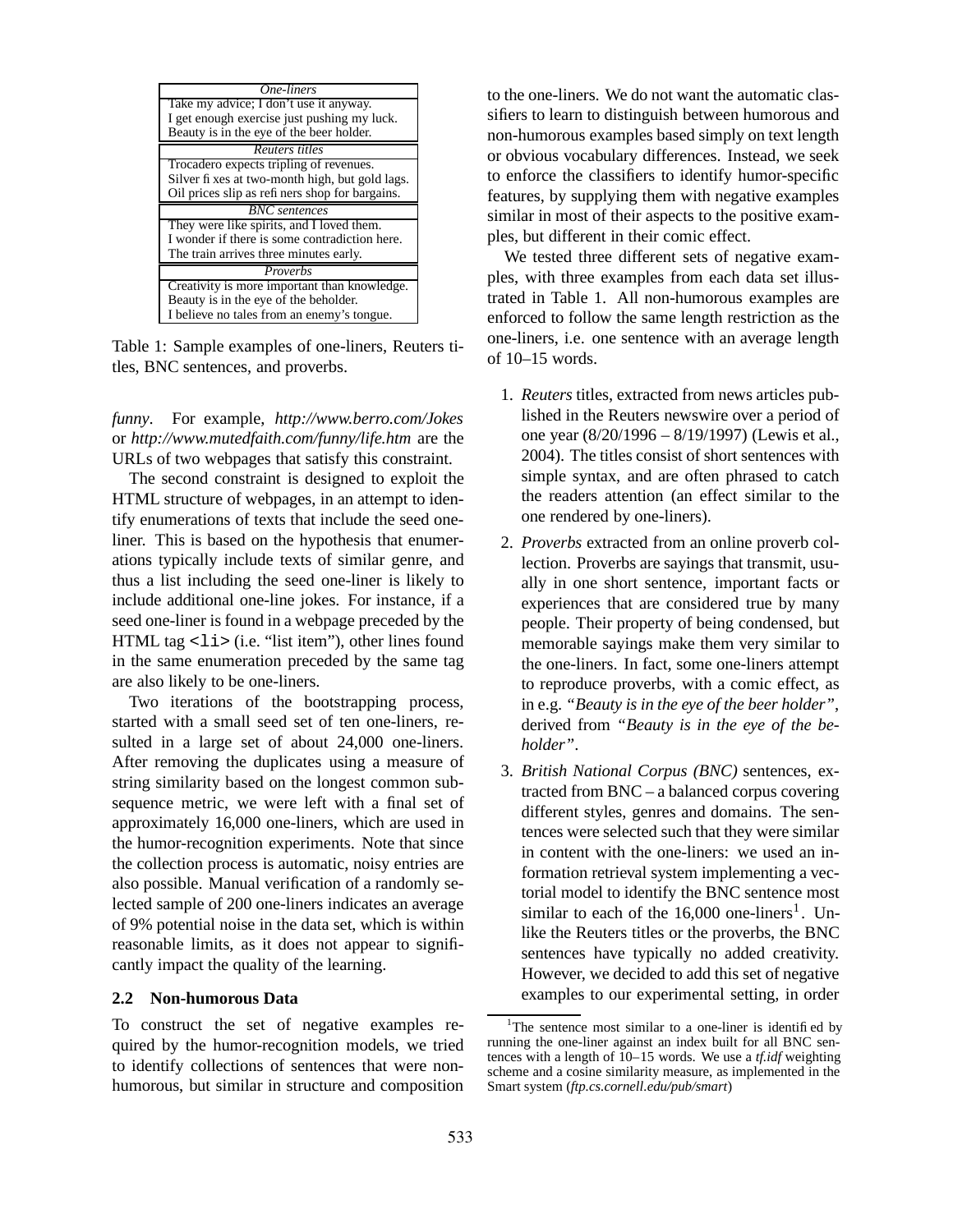| One-liners                                      |  |  |  |  |
|-------------------------------------------------|--|--|--|--|
| Take my advice; I don't use it anyway.          |  |  |  |  |
| I get enough exercise just pushing my luck.     |  |  |  |  |
| Beauty is in the eye of the beer holder.        |  |  |  |  |
| Reuters titles                                  |  |  |  |  |
| Trocadero expects tripling of revenues.         |  |  |  |  |
| Silver fi xes at two-month high, but gold lags. |  |  |  |  |
| Oil prices slip as refiners shop for bargains.  |  |  |  |  |
| <b>BNC</b> sentences                            |  |  |  |  |
|                                                 |  |  |  |  |
| They were like spirits, and I loved them.       |  |  |  |  |
| I wonder if there is some contradiction here.   |  |  |  |  |
| The train arrives three minutes early.          |  |  |  |  |
| <b>Proverbs</b>                                 |  |  |  |  |
| Creativity is more important than knowledge.    |  |  |  |  |
| Beauty is in the eye of the beholder.           |  |  |  |  |

Table 1: Sample examples of one-liners, Reuters titles, BNC sentences, and proverbs.

*funny*. For example, *http://www.berro.com/Jokes* or *http://www.mutedfaith.com/funny/life.htm* are the URLs of two webpages that satisfy this constraint.

The second constraint is designed to exploit the HTML structure of webpages, in an attempt to identify enumerations of texts that include the seed oneliner. This is based on the hypothesis that enumerations typically include texts of similar genre, and thus a list including the seed one-liner is likely to include additional one-line jokes. For instance, if a seed one-liner is found in a webpage preceded by the HTML tag <1i> (i.e. "list item"), other lines found in the same enumeration preceded by the same tag are also likely to be one-liners.

Two iterations of the bootstrapping process, started with a small seed set of ten one-liners, resulted in a large set of about 24,000 one-liners. After removing the duplicates using a measure of string similarity based on the longest common subsequence metric, we were left with a final set of approximately 16,000 one-liners, which are used in the humor-recognition experiments. Note that since the collection process is automatic, noisy entries are also possible. Manual verification of a randomly selected sample of 200 one-liners indicates an average of 9% potential noise in the data set, which is within reasonable limits, as it does not appear to significantly impact the quality of the learning.

## **2.2 Non-humorous Data**

To construct the set of negative examples required by the humor-recognition models, we tried to identify collections of sentences that were nonhumorous, but similar in structure and composition

to the one-liners. We do not want the automatic classifiers to learn to distinguish between humorous and non-humorous examples based simply on text length or obvious vocabulary differences. Instead, we seek to enforce the classifiers to identify humor-specific features, by supplying them with negative examples similar in most of their aspects to the positive examples, but different in their comic effect.

We tested three different sets of negative examples, with three examples from each data set illustrated in Table 1. All non-humorous examples are enforced to follow the same length restriction as the one-liners, i.e. one sentence with an average length of 10–15 words.

- 1. *Reuters* titles, extracted from news articles published in the Reuters newswire over a period of one year (8/20/1996 – 8/19/1997) (Lewis et al., 2004). The titles consist of short sentences with simple syntax, and are often phrased to catch the readers attention (an effect similar to the one rendered by one-liners).
- 2. *Proverbs* extracted from an online proverb collection. Proverbs are sayings that transmit, usually in one short sentence, important facts or experiences that are considered true by many people. Their property of being condensed, but memorable sayings make them very similar to the one-liners. In fact, some one-liners attempt to reproduce proverbs, with a comic effect, as in e.g. *"Beauty is in the eye of the beer holder"*, derived from *"Beauty is in the eye of the beholder"*.
- 3. *British National Corpus (BNC)* sentences, extracted from BNC – a balanced corpus covering different styles, genres and domains. The sentences were selected such that they were similar in content with the one-liners: we used an information retrieval system implementing a vectorial model to identify the BNC sentence most similar to each of the  $16,000$  one-liners<sup>1</sup>. Unlike the Reuters titles or the proverbs, the BNC sentences have typically no added creativity. However, we decided to add this set of negative examples to our experimental setting, in order

<sup>&</sup>lt;sup>1</sup>The sentence most similar to a one-liner is identified by running the one-liner against an index built for all BNC sentences with a length of 10–15 words. We use a *tf.idf* weighting scheme and a cosine similarity measure, as implemented in the Smart system (*ftp.cs.cornell.edu/pub/smart*)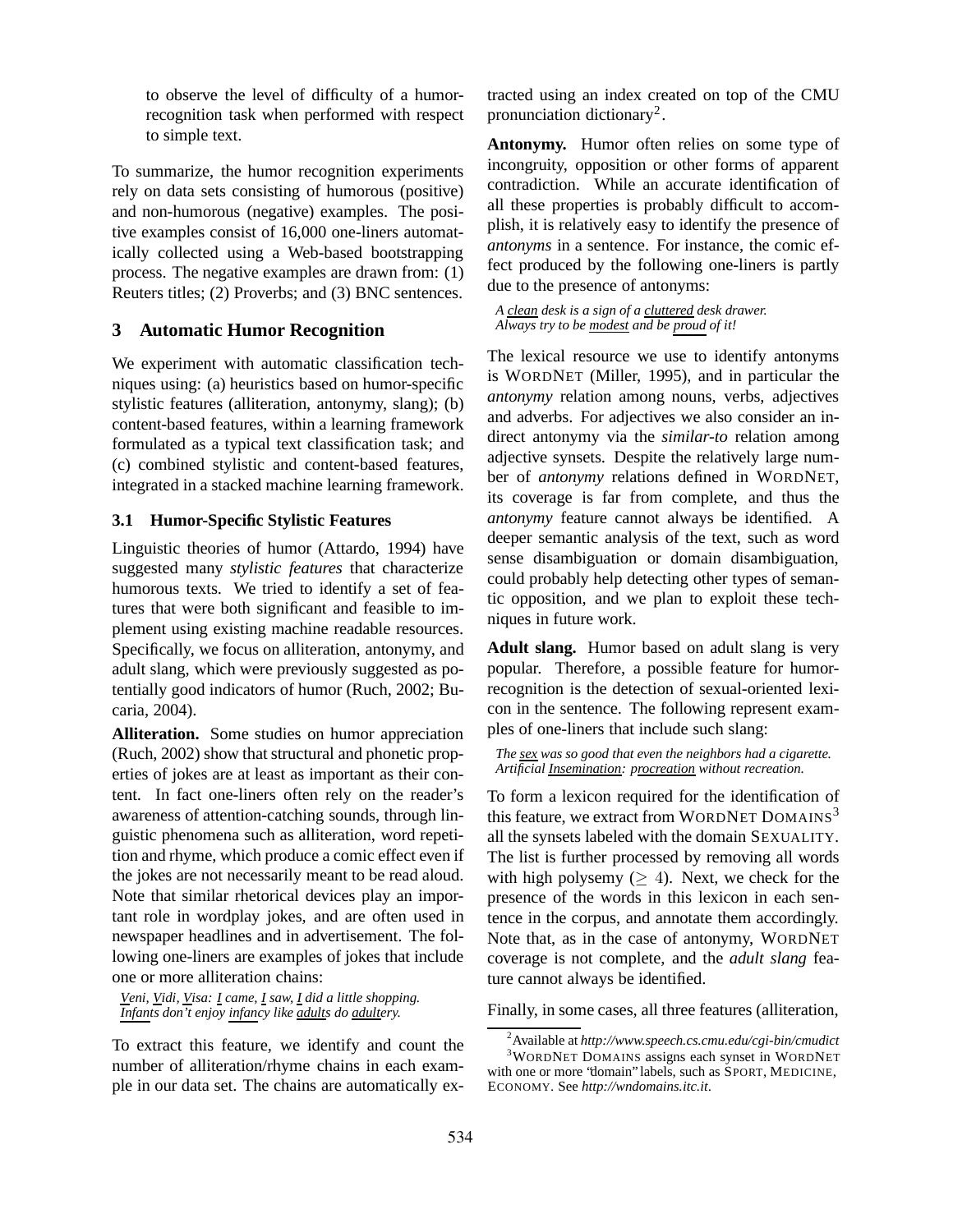to observe the level of difficulty of a humorrecognition task when performed with respect to simple text.

To summarize, the humor recognition experiments rely on data sets consisting of humorous (positive) and non-humorous (negative) examples. The positive examples consist of 16,000 one-liners automatically collected using a Web-based bootstrapping process. The negative examples are drawn from: (1) Reuters titles; (2) Proverbs; and (3) BNC sentences.

## **3 Automatic Humor Recognition**

We experiment with automatic classification techniques using: (a) heuristics based on humor-specific stylistic features (alliteration, antonymy, slang); (b) content-based features, within a learning framework formulated as a typical text classification task; and (c) combined stylistic and content-based features, integrated in a stacked machine learning framework.

## **3.1 Humor-Specific Stylistic Features**

Linguistic theories of humor (Attardo, 1994) have suggested many *stylistic features* that characterize humorous texts. We tried to identify a set of features that were both significant and feasible to implement using existing machine readable resources. Specifically, we focus on alliteration, antonymy, and adult slang, which were previously suggested as potentially good indicators of humor (Ruch, 2002; Bucaria, 2004).

**Alliteration.** Some studies on humor appreciation (Ruch, 2002) show that structural and phonetic properties of jokes are at least as important as their content. In fact one-liners often rely on the reader's awareness of attention-catching sounds, through linguistic phenomena such as alliteration, word repetition and rhyme, which produce a comic effect even if the jokes are not necessarily meant to be read aloud. Note that similar rhetorical devices play an important role in wordplay jokes, and are often used in newspaper headlines and in advertisement. The following one-liners are examples of jokes that include one or more alliteration chains:

*Veni, Vidi, Visa: I came, I saw, I did a little shopping. Infants don't enjoy infancy like adults do adultery.*

To extract this feature, we identify and count the number of alliteration/rhyme chains in each example in our data set. The chains are automatically extracted using an index created on top of the CMU pronunciation dictionary<sup>2</sup>.

**Antonymy.** Humor often relies on some type of incongruity, opposition or other forms of apparent contradiction. While an accurate identification of all these properties is probably difficult to accomplish, it is relatively easy to identify the presence of *antonyms* in a sentence. For instance, the comic effect produced by the following one-liners is partly due to the presence of antonyms:

*A clean desk is a sign of a cluttered desk drawer. Always try to be modest and be proud of it!*

The lexical resource we use to identify antonyms is WORDNET (Miller, 1995), and in particular the *antonymy* relation among nouns, verbs, adjectives and adverbs. For adjectives we also consider an indirect antonymy via the *similar-to* relation among adjective synsets. Despite the relatively large number of *antonymy* relations defined in WORDNET, its coverage is far from complete, and thus the *antonymy* feature cannot always be identified. A deeper semantic analysis of the text, such as word sense disambiguation or domain disambiguation, could probably help detecting other types of semantic opposition, and we plan to exploit these techniques in future work.

**Adult slang.** Humor based on adult slang is very popular. Therefore, a possible feature for humorrecognition is the detection of sexual-oriented lexicon in the sentence. The following represent examples of one-liners that include such slang:

*The sex was so good that even the neighbors had a cigarette. Artificial Insemination: procreation without recreation.*

To form a lexicon required for the identification of this feature, we extract from WORDNET DOMAINS<sup>3</sup> all the synsets labeled with the domain SEXUALITY. The list is further processed by removing all words with high polysemy ( $\geq 4$ ). Next, we check for the presence of the words in this lexicon in each sentence in the corpus, and annotate them accordingly. Note that, as in the case of antonymy, WORDNET coverage is not complete, and the *adult slang* feature cannot always be identified.

Finally, in some cases, all three features (alliteration,

<sup>2</sup>Available at *http://www.speech.cs.cmu.edu/cgi-bin/cmudict* <sup>3</sup>WORDNET DOMAINS assigns each synset in WORDNET with one or more "domain" labels, such as SPORT, MEDICINE, ECONOMY. See *http://wndomains.itc.it*.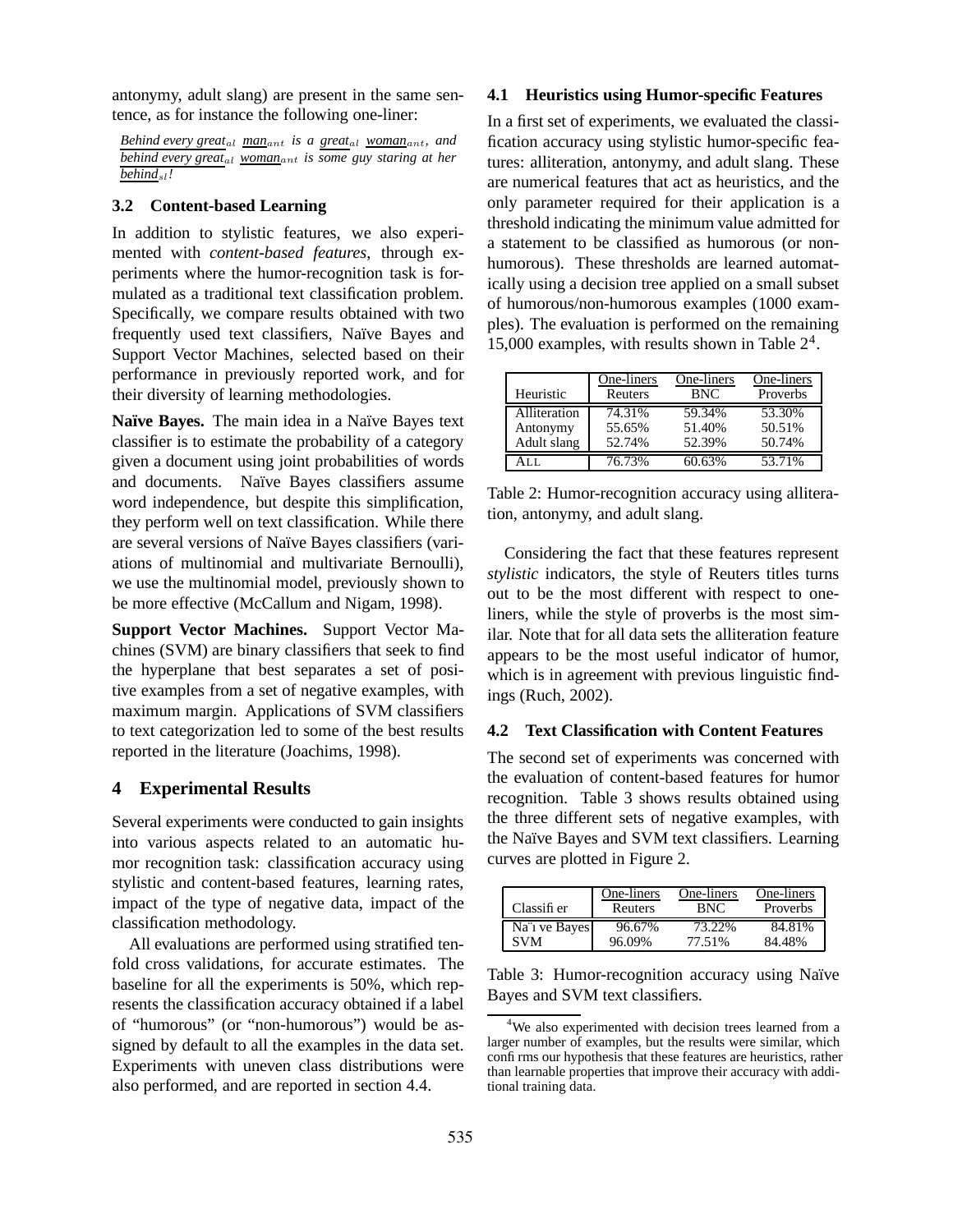antonymy, adult slang) are present in the same sentence, as for instance the following one-liner:

*Behind every great*al *man*ant *is a great*al *woman*ant*, and behind every great*al *woman*ant *is some guy staring at her*  $behind_{sl}$ *!* 

## **3.2 Content-based Learning**

In addition to stylistic features, we also experimented with *content-based features*, through experiments where the humor-recognition task is formulated as a traditional text classification problem. Specifically, we compare results obtained with two frequently used text classifiers, Naïve Bayes and Support Vector Machines, selected based on their performance in previously reported work, and for their diversity of learning methodologies.

Naïve Bayes. The main idea in a Naïve Bayes text classifier is to estimate the probability of a category given a document using joint probabilities of words and documents. Naïve Bayes classifiers assume word independence, but despite this simplification, they perform well on text classification. While there are several versions of Naïve Bayes classifiers (variations of multinomial and multivariate Bernoulli), we use the multinomial model, previously shown to be more effective (McCallum and Nigam, 1998).

**Support Vector Machines.** Support Vector Machines (SVM) are binary classifiers that seek to find the hyperplane that best separates a set of positive examples from a set of negative examples, with maximum margin. Applications of SVM classifiers to text categorization led to some of the best results reported in the literature (Joachims, 1998).

## **4 Experimental Results**

Several experiments were conducted to gain insights into various aspects related to an automatic humor recognition task: classification accuracy using stylistic and content-based features, learning rates, impact of the type of negative data, impact of the classification methodology.

All evaluations are performed using stratified tenfold cross validations, for accurate estimates. The baseline for all the experiments is 50%, which represents the classification accuracy obtained if a label of "humorous" (or "non-humorous") would be assigned by default to all the examples in the data set. Experiments with uneven class distributions were also performed, and are reported in section 4.4.

## **4.1 Heuristics using Humor-specific Features**

In a first set of experiments, we evaluated the classification accuracy using stylistic humor-specific features: alliteration, antonymy, and adult slang. These are numerical features that act as heuristics, and the only parameter required for their application is a threshold indicating the minimum value admitted for a statement to be classified as humorous (or nonhumorous). These thresholds are learned automatically using a decision tree applied on a small subset of humorous/non-humorous examples (1000 examples). The evaluation is performed on the remaining 15,000 examples, with results shown in Table  $2<sup>4</sup>$ .

| Heuristic      | One-liners | One-liners | One-liners |
|----------------|------------|------------|------------|
|                | Reuters    | <b>BNC</b> | Proverbs   |
| Alliteration   | 74.31%     | 59.34%     | 53.30%     |
| Antonymy       | 55.65%     | 51.40%     | 50.51%     |
| Adult slang    | 52.74%     | 52.39%     | 50.74%     |
| $\blacksquare$ | 76.73%     | ናበ 63%     | 53.71%     |

Table 2: Humor-recognition accuracy using alliteration, antonymy, and adult slang.

Considering the fact that these features represent *stylistic* indicators, the style of Reuters titles turns out to be the most different with respect to oneliners, while the style of proverbs is the most similar. Note that for all data sets the alliteration feature appears to be the most useful indicator of humor, which is in agreement with previous linguistic findings (Ruch, 2002).

## **4.2 Text Classification with Content Features**

The second set of experiments was concerned with the evaluation of content-based features for humor recognition. Table 3 shows results obtained using the three different sets of negative examples, with the Naïve Bayes and SVM text classifiers. Learning curves are plotted in Figure 2.

| Classifi er                     | One-liners     | One-liners | One-liners      |
|---------------------------------|----------------|------------|-----------------|
|                                 | <b>Reuters</b> | BNC.       | <b>Proverbs</b> |
| $\overline{\text{Na}}$ ve Bayes | 96.67%         | 73.22%     | 84.81%          |
| <b>SVM</b>                      | 96.09%         | 77.51%     | 84.48%          |

Table 3: Humor-recognition accuracy using Naïve Bayes and SVM text classifiers.

<sup>&</sup>lt;sup>4</sup>We also experimented with decision trees learned from a larger number of examples, but the results were similar, which confirms our hypothesis that these features are heuristics, rather than learnable properties that improve their accuracy with additional training data.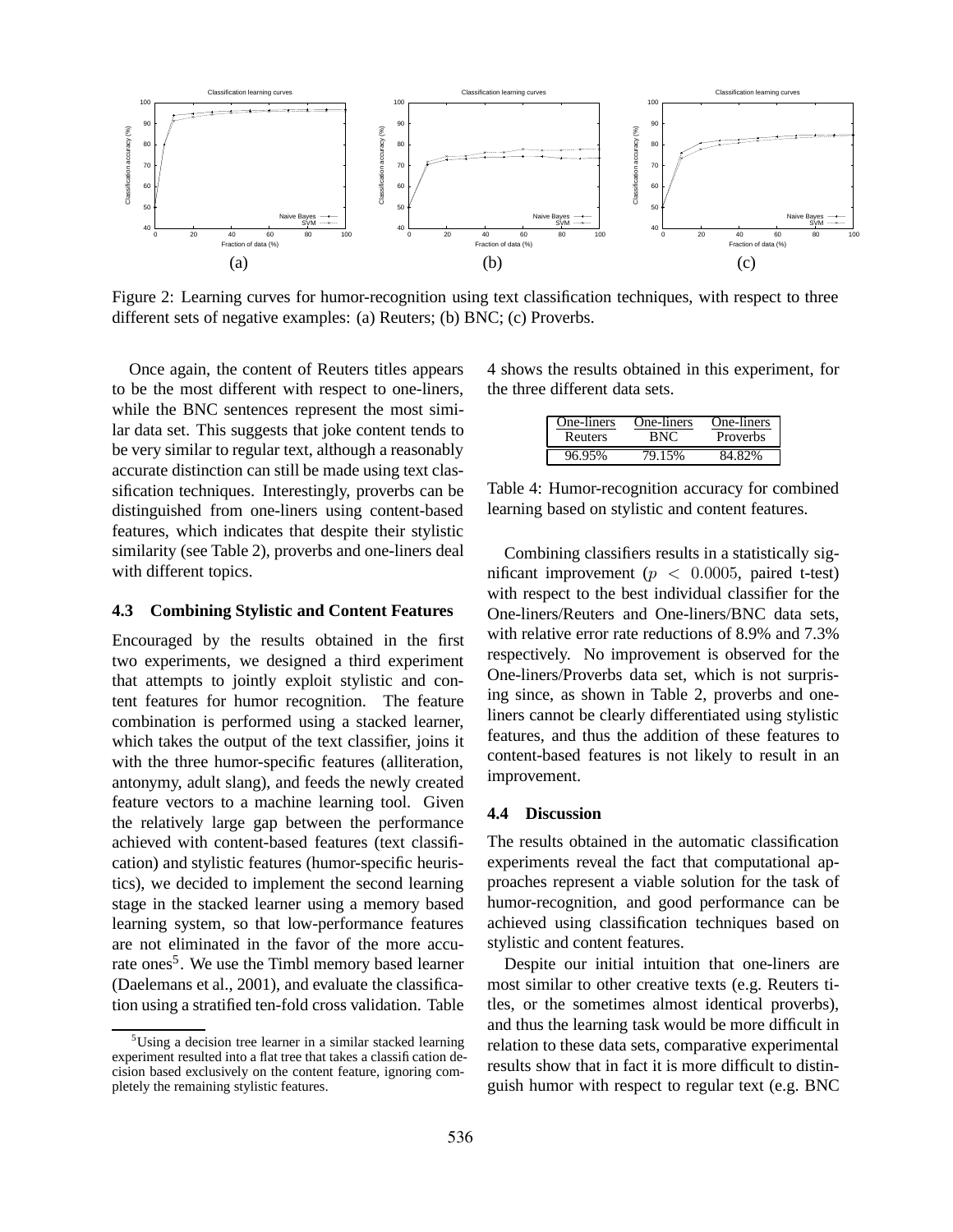

Figure 2: Learning curves for humor-recognition using text classification techniques, with respect to three different sets of negative examples: (a) Reuters; (b) BNC; (c) Proverbs.

Once again, the content of Reuters titles appears to be the most different with respect to one-liners, while the BNC sentences represent the most similar data set. This suggests that joke content tends to be very similar to regular text, although a reasonably accurate distinction can still be made using text classification techniques. Interestingly, proverbs can be distinguished from one-liners using content-based features, which indicates that despite their stylistic similarity (see Table 2), proverbs and one-liners deal with different topics.

## **4.3 Combining Stylistic and Content Features**

Encouraged by the results obtained in the first two experiments, we designed a third experiment that attempts to jointly exploit stylistic and content features for humor recognition. The feature combination is performed using a stacked learner, which takes the output of the text classifier, joins it with the three humor-specific features (alliteration, antonymy, adult slang), and feeds the newly created feature vectors to a machine learning tool. Given the relatively large gap between the performance achieved with content-based features (text classification) and stylistic features (humor-specific heuristics), we decided to implement the second learning stage in the stacked learner using a memory based learning system, so that low-performance features are not eliminated in the favor of the more accurate ones<sup>5</sup>. We use the Timbl memory based learner (Daelemans et al., 2001), and evaluate the classification using a stratified ten-fold cross validation. Table 4 shows the results obtained in this experiment, for the three different data sets.

| One-liners | One-liners | One-liners      |
|------------|------------|-----------------|
| Reuters    | RN(        | <b>Proverbs</b> |
| 96.95%     | 79.15%     | xд '            |

Table 4: Humor-recognition accuracy for combined learning based on stylistic and content features.

Combining classifiers results in a statistically significant improvement ( $p < 0.0005$ , paired t-test) with respect to the best individual classifier for the One-liners/Reuters and One-liners/BNC data sets, with relative error rate reductions of 8.9% and 7.3% respectively. No improvement is observed for the One-liners/Proverbs data set, which is not surprising since, as shown in Table 2, proverbs and oneliners cannot be clearly differentiated using stylistic features, and thus the addition of these features to content-based features is not likely to result in an improvement.

#### **4.4 Discussion**

The results obtained in the automatic classification experiments reveal the fact that computational approaches represent a viable solution for the task of humor-recognition, and good performance can be achieved using classification techniques based on stylistic and content features.

Despite our initial intuition that one-liners are most similar to other creative texts (e.g. Reuters titles, or the sometimes almost identical proverbs), and thus the learning task would be more difficult in relation to these data sets, comparative experimental results show that in fact it is more difficult to distinguish humor with respect to regular text (e.g. BNC

 $5$ Using a decision tree learner in a similar stacked learning experiment resulted into a flat tree that takes a classification decision based exclusively on the content feature, ignoring completely the remaining stylistic features.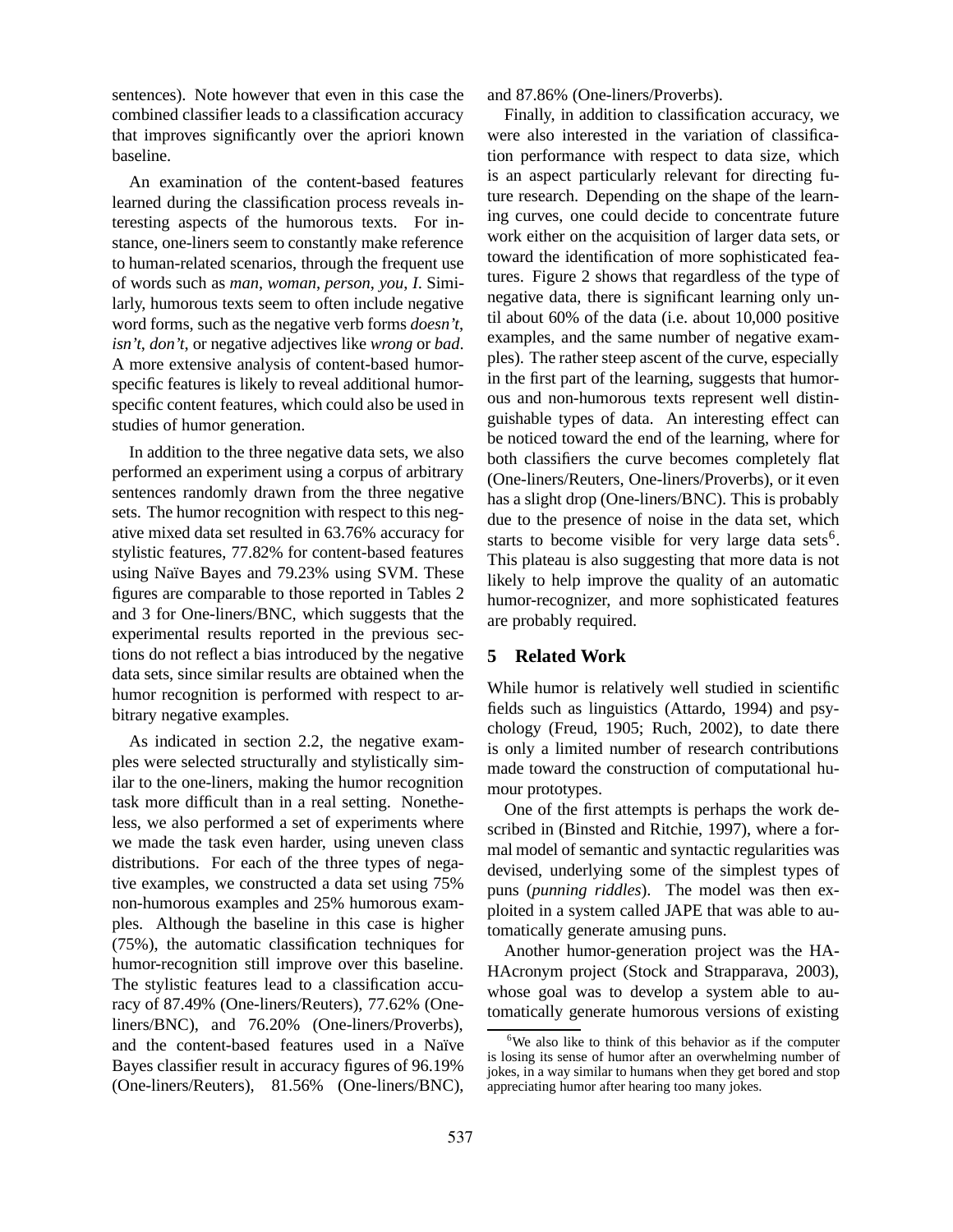sentences). Note however that even in this case the combined classifier leads to a classification accuracy that improves significantly over the apriori known baseline.

An examination of the content-based features learned during the classification process reveals interesting aspects of the humorous texts. For instance, one-liners seem to constantly make reference to human-related scenarios, through the frequent use of words such as *man*, *woman*, *person*, *you*, *I*. Similarly, humorous texts seem to often include negative word forms, such as the negative verb forms *doesn't*, *isn't*, *don't*, or negative adjectives like *wrong* or *bad*. A more extensive analysis of content-based humorspecific features is likely to reveal additional humorspecific content features, which could also be used in studies of humor generation.

In addition to the three negative data sets, we also performed an experiment using a corpus of arbitrary sentences randomly drawn from the three negative sets. The humor recognition with respect to this negative mixed data set resulted in 63.76% accuracy for stylistic features, 77.82% for content-based features using Naïve Bayes and 79.23% using SVM. These figures are comparable to those reported in Tables 2 and 3 for One-liners/BNC, which suggests that the experimental results reported in the previous sections do not reflect a bias introduced by the negative data sets, since similar results are obtained when the humor recognition is performed with respect to arbitrary negative examples.

As indicated in section 2.2, the negative examples were selected structurally and stylistically similar to the one-liners, making the humor recognition task more difficult than in a real setting. Nonetheless, we also performed a set of experiments where we made the task even harder, using uneven class distributions. For each of the three types of negative examples, we constructed a data set using 75% non-humorous examples and 25% humorous examples. Although the baseline in this case is higher (75%), the automatic classification techniques for humor-recognition still improve over this baseline. The stylistic features lead to a classification accuracy of 87.49% (One-liners/Reuters), 77.62% (Oneliners/BNC), and 76.20% (One-liners/Proverbs), and the content-based features used in a Naïve Bayes classifier result in accuracy figures of 96.19% (One-liners/Reuters), 81.56% (One-liners/BNC),

and 87.86% (One-liners/Proverbs).

Finally, in addition to classification accuracy, we were also interested in the variation of classification performance with respect to data size, which is an aspect particularly relevant for directing future research. Depending on the shape of the learning curves, one could decide to concentrate future work either on the acquisition of larger data sets, or toward the identification of more sophisticated features. Figure 2 shows that regardless of the type of negative data, there is significant learning only until about 60% of the data (i.e. about 10,000 positive examples, and the same number of negative examples). The rather steep ascent of the curve, especially in the first part of the learning, suggests that humorous and non-humorous texts represent well distinguishable types of data. An interesting effect can be noticed toward the end of the learning, where for both classifiers the curve becomes completely flat (One-liners/Reuters, One-liners/Proverbs), or it even has a slight drop (One-liners/BNC). This is probably due to the presence of noise in the data set, which starts to become visible for very large data sets<sup>6</sup>. This plateau is also suggesting that more data is not likely to help improve the quality of an automatic humor-recognizer, and more sophisticated features are probably required.

#### **5 Related Work**

While humor is relatively well studied in scientific fields such as linguistics (Attardo, 1994) and psychology (Freud, 1905; Ruch, 2002), to date there is only a limited number of research contributions made toward the construction of computational humour prototypes.

One of the first attempts is perhaps the work described in (Binsted and Ritchie, 1997), where a formal model of semantic and syntactic regularities was devised, underlying some of the simplest types of puns (*punning riddles*). The model was then exploited in a system called JAPE that was able to automatically generate amusing puns.

Another humor-generation project was the HA-HAcronym project (Stock and Strapparava, 2003), whose goal was to develop a system able to automatically generate humorous versions of existing

<sup>&</sup>lt;sup>6</sup>We also like to think of this behavior as if the computer is losing its sense of humor after an overwhelming number of jokes, in a way similar to humans when they get bored and stop appreciating humor after hearing too many jokes.